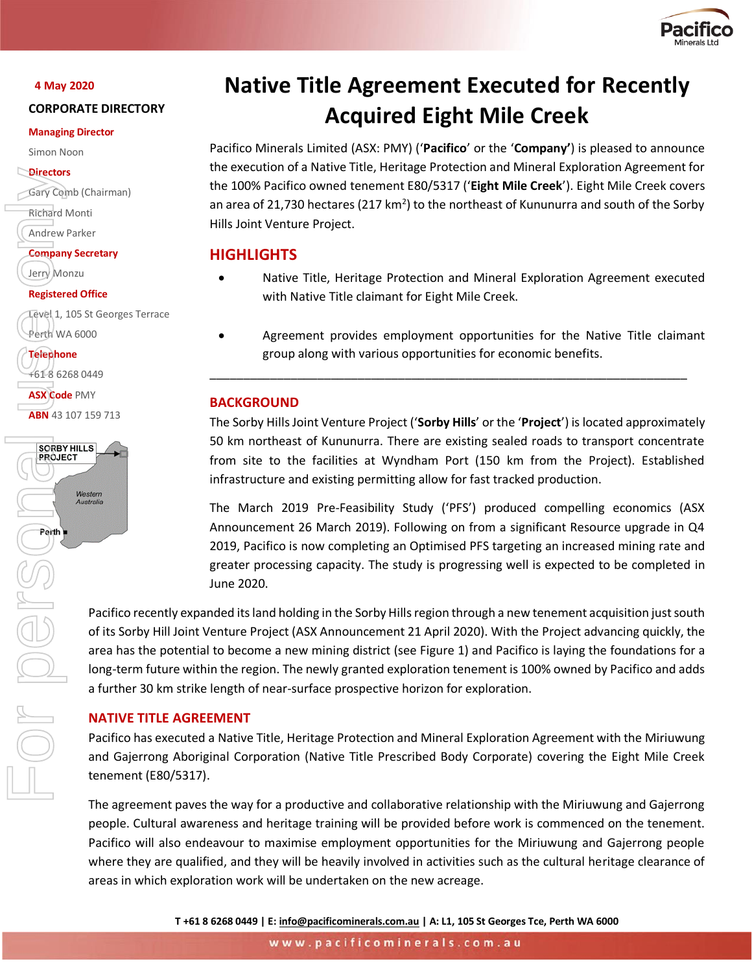

## **4 May 2020**

## **CORPORATE DIRECTORY**

#### **Managing Director**

Simon Noon

## **Directors**

Gary Comb (Chairman)

Richard Monti

Andrew Parker

**Company Secretary**

Jerry Monzu

## **Registered Office**

Level 1, 105 St Georges Terrace Perth WA 6000

**Telephone** +61 8 6268 0449

**ASX Code** PMY **ABN** 43 107 159 713



# **Native Title Agreement Executed for Recently Acquired Eight Mile Creek**

Pacifico Minerals Limited (ASX: PMY) ('**Pacifico**' or the '**Company'**) is pleased to announce the execution of a Native Title, Heritage Protection and Mineral Exploration Agreement for the 100% Pacifico owned tenement E80/5317 ('**Eight Mile Creek**'). Eight Mile Creek covers an area of 21,730 hectares (217 km<sup>2</sup>) to the northeast of Kununurra and south of the Sorby Hills Joint Venture Project.

# **HIGHLIGHTS**

- Native Title, Heritage Protection and Mineral Exploration Agreement executed with Native Title claimant for Eight Mile Creek.
- Agreement provides employment opportunities for the Native Title claimant group along with various opportunities for economic benefits.

\_\_\_\_\_\_\_\_\_\_\_\_\_\_\_\_\_\_\_\_\_\_\_\_\_\_\_\_\_\_\_\_\_\_\_\_\_\_\_\_\_\_\_\_\_\_\_\_\_\_\_\_\_\_\_\_\_\_\_\_\_\_\_\_\_\_\_\_\_\_\_

# **BACKGROUND**

The Sorby Hills Joint Venture Project ('**Sorby Hills**' or the '**Project**') is located approximately 50 km northeast of Kununurra. There are existing sealed roads to transport concentrate from site to the facilities at Wyndham Port (150 km from the Project). Established infrastructure and existing permitting allow for fast tracked production.

The March 2019 Pre-Feasibility Study ('PFS') produced compelling economics (ASX Announcement 26 March 2019). Following on from a significant Resource upgrade in Q4 2019, Pacifico is now completing an Optimised PFS targeting an increased mining rate and greater processing capacity. The study is progressing well is expected to be completed in June 2020.

Pacifico recently expanded its land holding in the Sorby Hills region through a new tenement acquisition just south of its Sorby Hill Joint Venture Project (ASX Announcement 21 April 2020). With the Project advancing quickly, the area has the potential to become a new mining district (see Figure 1) and Pacifico is laying the foundations for a long-term future within the region. The newly granted exploration tenement is 100% owned by Pacifico and adds a further 30 km strike length of near-surface prospective horizon for exploration.

## **NATIVE TITLE AGREEMENT**

Pacifico has executed a Native Title, Heritage Protection and Mineral Exploration Agreement with the Miriuwung and Gajerrong Aboriginal Corporation (Native Title Prescribed Body Corporate) covering the Eight Mile Creek tenement (E80/5317).

The agreement paves the way for a productive and collaborative relationship with the Miriuwung and Gajerrong people. Cultural awareness and heritage training will be provided before work is commenced on the tenement. Pacifico will also endeavour to maximise employment opportunities for the Miriuwung and Gajerrong people where they are qualified, and they will be heavily involved in activities such as the cultural heritage clearance of areas in which exploration work will be undertaken on the new acreage.

**T +61 8 6268 0449 | E[: info@pacificominerals.com.au](mailto:info@pacificominerals.com.au) | A: L1, 105 St Georges Tce, Perth WA 6000**

www.pacificominerals.com.au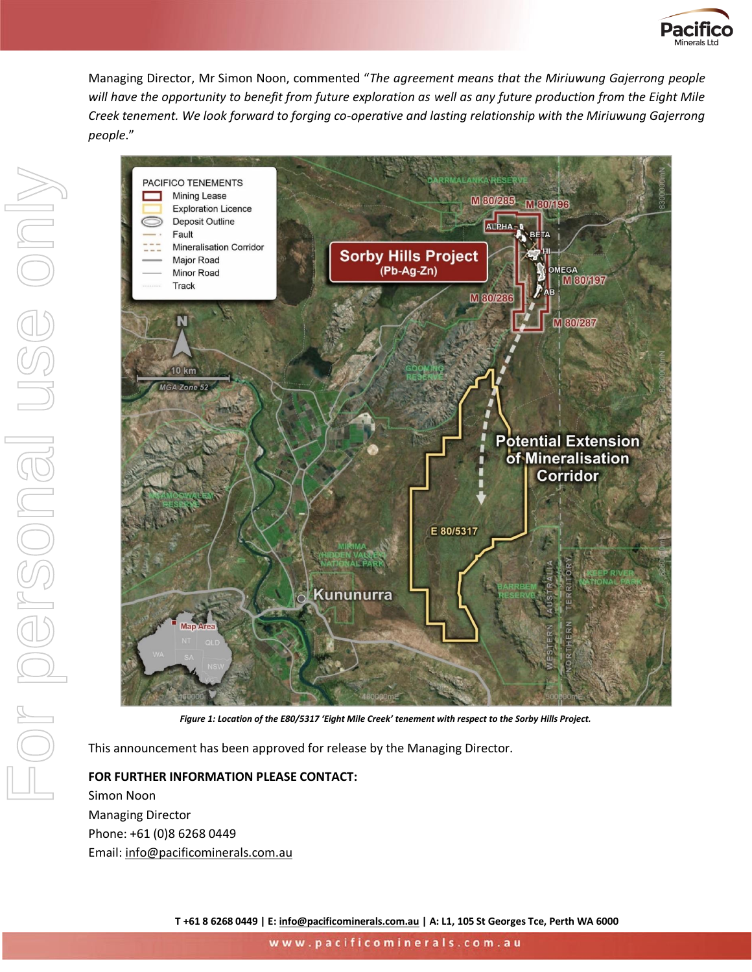

Managing Director, Mr Simon Noon, commented "*The agreement means that the Miriuwung Gajerrong people will have the opportunity to benefit from future exploration as well as any future production from the Eight Mile Creek tenement. We look forward to forging co-operative and lasting relationship with the Miriuwung Gajerrong people*."



This announcement has been approved for release by the Managing Director.

**FOR FURTHER INFORMATION PLEASE CONTACT:**  Simon Noon Managing Director Phone: +61 (0)8 6268 0449 Email: [info@pacificominerals.com.au](mailto:info@pacificominerals.com.au)

**T +61 8 6268 0449 | E[: info@pacificominerals.com.au](mailto:info@pacificominerals.com.au) | A: L1, 105 St Georges Tce, Perth WA 6000**

www.pacificominerals.com.au